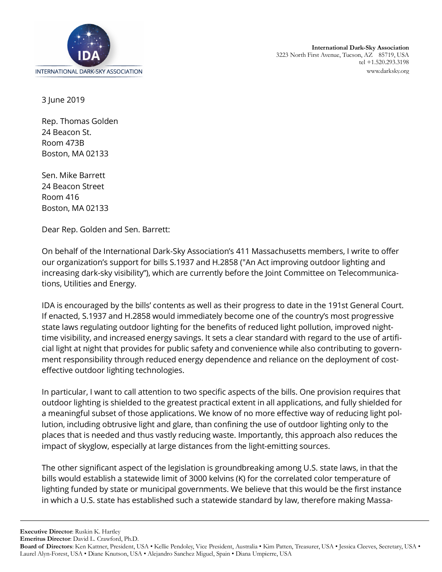

3 June 2019

Rep. Thomas Golden 24 Beacon St. Room 473B Boston, MA 02133

Sen. Mike Barrett 24 Beacon Street Room 416 Boston, MA 02133

Dear Rep. Golden and Sen. Barrett:

On behalf of the International Dark-Sky Association's 411 Massachusetts members, I write to offer our organization's support for bills S.1937 and H.2858 ("An Act improving outdoor lighting and increasing dark-sky visibility"), which are currently before the Joint Committee on Telecommunications, Utilities and Energy.

IDA is encouraged by the bills' contents as well as their progress to date in the 191st General Court. If enacted, S.1937 and H.2858 would immediately become one of the country's most progressive state laws regulating outdoor lighting for the benefits of reduced light pollution, improved nighttime visibility, and increased energy savings. It sets a clear standard with regard to the use of artificial light at night that provides for public safety and convenience while also contributing to government responsibility through reduced energy dependence and reliance on the deployment of costeffective outdoor lighting technologies.

In particular, I want to call attention to two specific aspects of the bills. One provision requires that outdoor lighting is shielded to the greatest practical extent in all applications, and fully shielded for a meaningful subset of those applications. We know of no more effective way of reducing light pollution, including obtrusive light and glare, than confining the use of outdoor lighting only to the places that is needed and thus vastly reducing waste. Importantly, this approach also reduces the impact of skyglow, especially at large distances from the light-emitting sources.

The other significant aspect of the legislation is groundbreaking among U.S. state laws, in that the bills would establish a statewide limit of 3000 kelvins (K) for the correlated color temperature of lighting funded by state or municipal governments. We believe that this would be the first instance in which a U.S. state has established such a statewide standard by law, therefore making Massa-

**Executive Director**: Ruskin K. Hartley

**Emeritus Director**: David L. Crawford, Ph.D.

**Board of Directors**: Ken Kattner, President, USA • Kellie Pendoley, Vice President, Australia • Kim Patten, Treasurer, USA • Jessica Cleeves, Secretary, USA • Laurel Alyn-Forest, USA • Diane Knutson, USA • Alejandro Sanchez Miguel, Spain • Diana Umpierre, USA